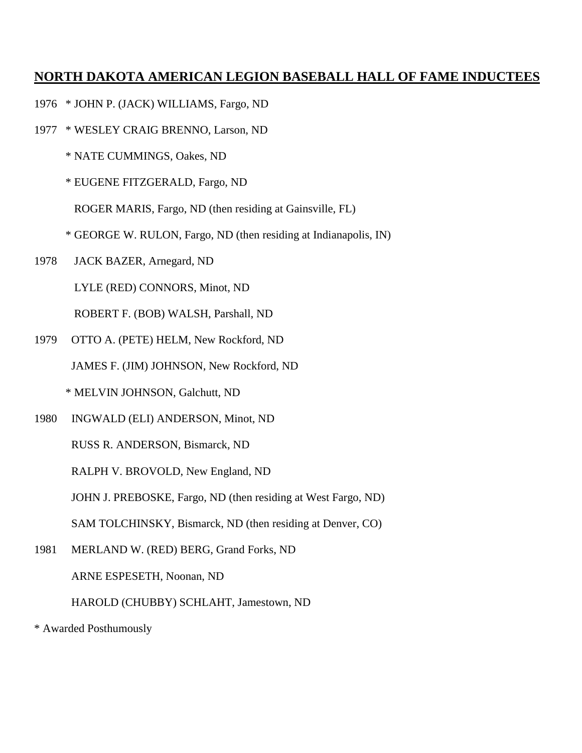- 1976 \* JOHN P. (JACK) WILLIAMS, Fargo, ND
- 1977 \* WESLEY CRAIG BRENNO, Larson, ND
	- \* NATE CUMMINGS, Oakes, ND
	- \* EUGENE FITZGERALD, Fargo, ND

ROGER MARIS, Fargo, ND (then residing at Gainsville, FL)

- \* GEORGE W. RULON, Fargo, ND (then residing at Indianapolis, IN)
- 1978 JACK BAZER, Arnegard, ND

LYLE (RED) CONNORS, Minot, ND

ROBERT F. (BOB) WALSH, Parshall, ND

1979 OTTO A. (PETE) HELM, New Rockford, ND

JAMES F. (JIM) JOHNSON, New Rockford, ND

\* MELVIN JOHNSON, Galchutt, ND

1980 INGWALD (ELI) ANDERSON, Minot, ND

RUSS R. ANDERSON, Bismarck, ND

RALPH V. BROVOLD, New England, ND

JOHN J. PREBOSKE, Fargo, ND (then residing at West Fargo, ND)

SAM TOLCHINSKY, Bismarck, ND (then residing at Denver, CO)

1981 MERLAND W. (RED) BERG, Grand Forks, ND

ARNE ESPESETH, Noonan, ND

HAROLD (CHUBBY) SCHLAHT, Jamestown, ND

\* Awarded Posthumously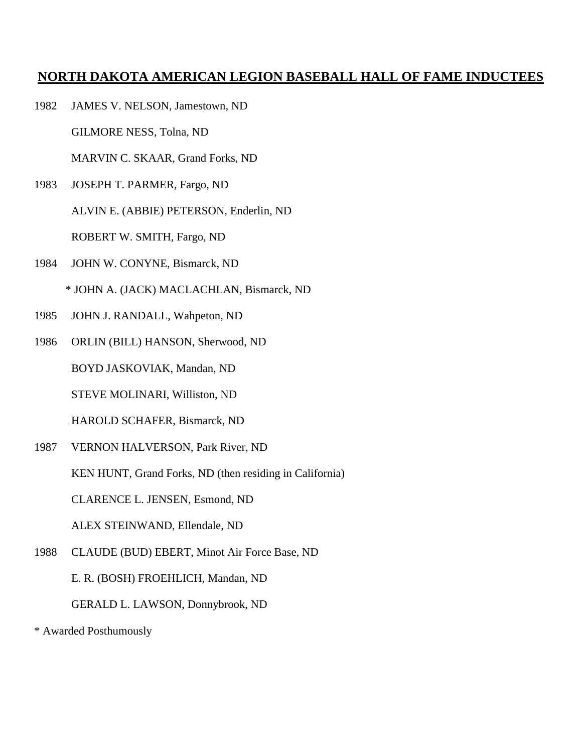1982 JAMES V. NELSON, Jamestown, ND

GILMORE NESS, Tolna, ND

MARVIN C. SKAAR, Grand Forks, ND

1983 JOSEPH T. PARMER, Fargo, ND

ALVIN E. (ABBIE) PETERSON, Enderlin, ND

ROBERT W. SMITH, Fargo, ND

1984 JOHN W. CONYNE, Bismarck, ND

\* JOHN A. (JACK) MACLACHLAN, Bismarck, ND

- 1985 JOHN J. RANDALL, Wahpeton, ND
- 1986 ORLIN (BILL) HANSON, Sherwood, ND

BOYD JASKOVIAK, Mandan, ND

STEVE MOLINARI, Williston, ND

HAROLD SCHAFER, Bismarck, ND

1987 VERNON HALVERSON, Park River, ND

KEN HUNT, Grand Forks, ND (then residing in California)

CLARENCE L. JENSEN, Esmond, ND

ALEX STEINWAND, Ellendale, ND

1988 CLAUDE (BUD) EBERT, Minot Air Force Base, ND

E. R. (BOSH) FROEHLICH, Mandan, ND

GERALD L. LAWSON, Donnybrook, ND

\* Awarded Posthumously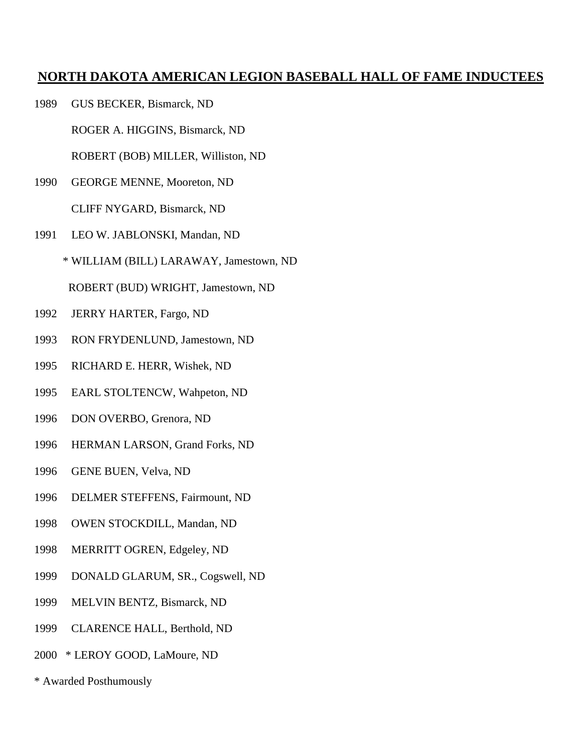1989 GUS BECKER, Bismarck, ND

ROGER A. HIGGINS, Bismarck, ND

ROBERT (BOB) MILLER, Williston, ND

- 1990 GEORGE MENNE, Mooreton, ND CLIFF NYGARD, Bismarck, ND
- 1991 LEO W. JABLONSKI, Mandan, ND
	- \* WILLIAM (BILL) LARAWAY, Jamestown, ND

ROBERT (BUD) WRIGHT, Jamestown, ND

- 1992 JERRY HARTER, Fargo, ND
- 1993 RON FRYDENLUND, Jamestown, ND
- 1995 RICHARD E. HERR, Wishek, ND
- 1995 EARL STOLTENCW, Wahpeton, ND
- 1996 DON OVERBO, Grenora, ND
- 1996 HERMAN LARSON, Grand Forks, ND
- 1996 GENE BUEN, Velva, ND
- 1996 DELMER STEFFENS, Fairmount, ND
- 1998 OWEN STOCKDILL, Mandan, ND
- 1998 MERRITT OGREN, Edgeley, ND
- 1999 DONALD GLARUM, SR., Cogswell, ND
- 1999 MELVIN BENTZ, Bismarck, ND
- 1999 CLARENCE HALL, Berthold, ND
- 2000 \* LEROY GOOD, LaMoure, ND
- \* Awarded Posthumously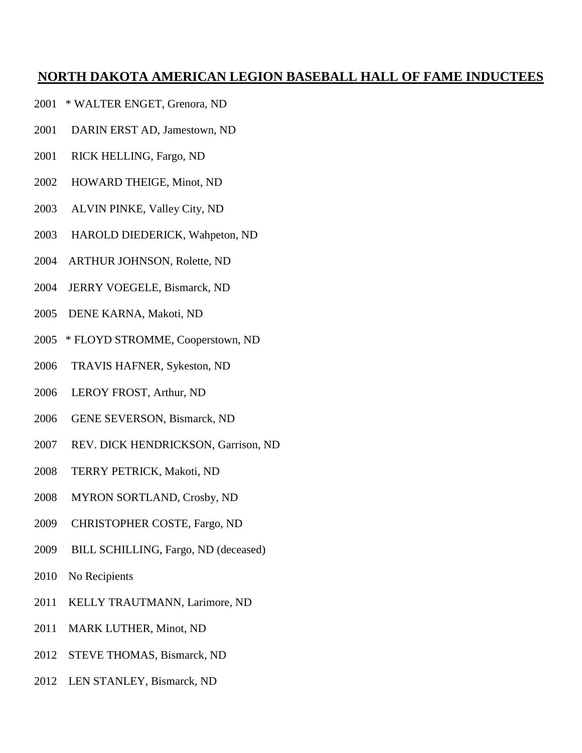- 2001 \* WALTER ENGET, Grenora, ND
- 2001 DARIN ERST AD, Jamestown, ND
- 2001 RICK HELLING, Fargo, ND
- 2002 HOWARD THEIGE, Minot, ND
- 2003 ALVIN PINKE, Valley City, ND
- 2003 HAROLD DIEDERICK, Wahpeton, ND
- 2004 ARTHUR JOHNSON, Rolette, ND
- 2004 JERRY VOEGELE, Bismarck, ND
- 2005 DENE KARNA, Makoti, ND
- 2005 \* FLOYD STROMME, Cooperstown, ND
- 2006 TRAVIS HAFNER, Sykeston, ND
- 2006 LEROY FROST, Arthur, ND
- 2006 GENE SEVERSON, Bismarck, ND
- 2007 REV. DICK HENDRICKSON, Garrison, ND
- 2008 TERRY PETRICK, Makoti, ND
- 2008 MYRON SORTLAND, Crosby, ND
- 2009 CHRISTOPHER COSTE, Fargo, ND
- 2009 BILL SCHILLING, Fargo, ND (deceased)
- 2010 No Recipients
- 2011 KELLY TRAUTMANN, Larimore, ND
- 2011 MARK LUTHER, Minot, ND
- 2012 STEVE THOMAS, Bismarck, ND
- 2012 LEN STANLEY, Bismarck, ND